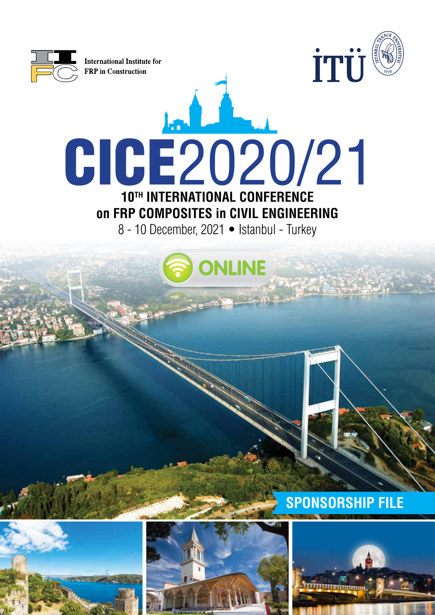





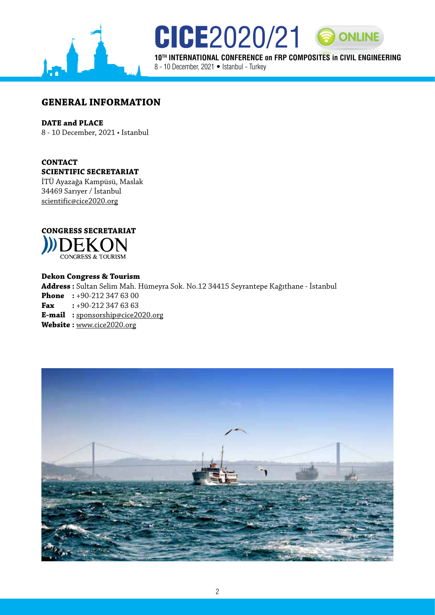

**10TH INTERNATIONAL CONFERENCE on FRP COMPOSITES in CIVIL ENGINEERING** 8 - 10 December, 2021 • Istanbul - Turkey

**CICE**2020/21 8 ONLINE

**GENERAL INFORMATION**

### **DATE and PLACE**

8 - 10 December, 2021 • Istanbul

### **CONTACT SCIENTIFIC SECRETARIAT**

İTÜ Ayazağa Kampüsü, Maslak 34469 Sarıyer / İstanbul scientific@cice2020.org



#### **Dekon Congress & Tourism**

**Address :** Sultan Selim Mah. Hümeyra Sok. No.12 34415 Seyrantepe Kağıthane - İstanbul **Phone** : +90-212 347 63 00 **Fax :** +90-212 347 63 63 **E-mail :** sponsorship@cice2020.org **Website :** www.cice2020.org

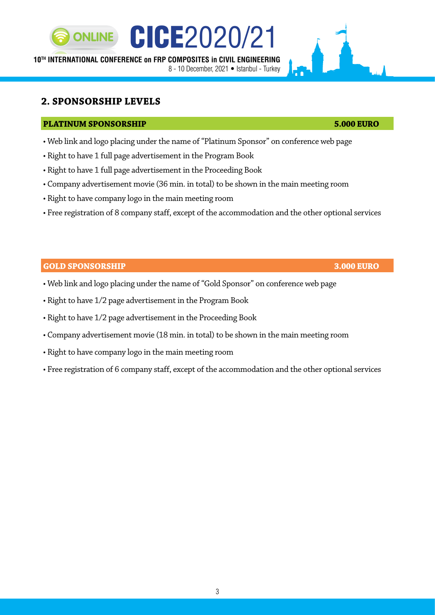# **10TH INTERNATIONAL CONFERENCE on FRP COMPOSITES in CIVIL ENGINEERING**

8 - 10 December, 2021 • Istanbul - Turkey

CICE2020/21

# **2. SPONSORSHIP LEVELS**

**ONLINE** 

# **PLATINUM SPONSORSHIP 5.000 EURO**

- Web link and logo placing under the name of "Platinum Sponsor" on conference web page
- Right to have 1 full page advertisement in the Program Book
- Right to have 1 full page advertisement in the Proceeding Book
- Company advertisement movie (36 min. in total) to be shown in the main meeting room
- Right to have company logo in the main meeting room
- Free registration of 8 company staff, except of the accommodation and the other optional services

# **GOLD SPONSORSHIP 3.000 EURO**

- Web link and logo placing under the name of "Gold Sponsor" on conference web page
- Right to have 1/2 page advertisement in the Program Book
- Right to have 1/2 page advertisement in the Proceeding Book
- Company advertisement movie (18 min. in total) to be shown in the main meeting room
- Right to have company logo in the main meeting room
- Free registration of 6 company staff, except of the accommodation and the other optional services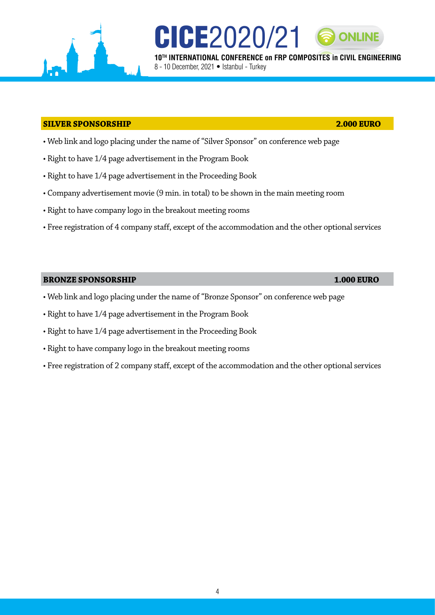## **SILVER SPONSORSHIP 2.000 EURO**

- Web link and logo placing under the name of "Silver Sponsor" on conference web page
- Right to have 1/4 page advertisement in the Program Book
- Right to have 1/4 page advertisement in the Proceeding Book
- Company advertisement movie (9 min. in total) to be shown in the main meeting room
- Right to have company logo in the breakout meeting rooms
- Free registration of 4 company staff, except of the accommodation and the other optional services

8 - 10 December, 2021 · Istanbul - Turkey

CICE2020/21

#### **BRONZE SPONSORSHIP 1.000 EURO**

- Web link and logo placing under the name of "Bronze Sponsor" on conference web page
- Right to have 1/4 page advertisement in the Program Book
- Right to have 1/4 page advertisement in the Proceeding Book
- Right to have company logo in the breakout meeting rooms
- Free registration of 2 company staff, except of the accommodation and the other optional services

**10TH INTERNATIONAL CONFERENCE on FRP COMPOSITES in CIVIL ENGINEERING**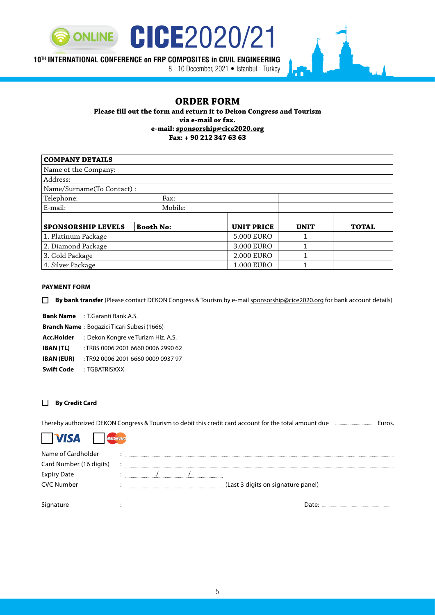

# **10TH INTERNATIONAL CONFERENCE on FRP COMPOSITES in CIVIL ENGINEERING**

8 - 10 December, 2021 • Istanbul - Turkey

#### **ORDER FORM**

**Please fill out the form and return it to Dekon Congress and Tourism via e-mail or fax. e-mail: sponsorship@cice2020.org Fax: + 90 212 347 63 63**

| <b>COMPANY DETAILS</b>    |                  |                   |             |              |  |
|---------------------------|------------------|-------------------|-------------|--------------|--|
| Name of the Company:      |                  |                   |             |              |  |
| Address:                  |                  |                   |             |              |  |
| Name/Surname(To Contact): |                  |                   |             |              |  |
| Telephone:<br>Fax:        |                  |                   |             |              |  |
| Mobile:<br>E-mail:        |                  |                   |             |              |  |
|                           |                  |                   |             |              |  |
| <b>SPONSORSHIP LEVELS</b> | <b>Booth No:</b> | <b>UNIT PRICE</b> | <b>UNIT</b> | <b>TOTAL</b> |  |
| 1. Platinum Package       |                  | 5.000 EURO        | 1           |              |  |
| 2. Diamond Package        |                  | 3.000 EURO        | 1           |              |  |
| 3. Gold Package           |                  | 2.000 EURO        | 1           |              |  |
| 4. Silver Package         |                  | 1.000 EURO        | 1           |              |  |

#### **PAYMENT FORM**

**By bank transfer** (Please contact DEKON Congress & Tourism by e-mail sponsorship@cice2020.org for bank account details)

**Bank Name** : T.Garanti Bank.A.S.

**Branch Name** : Bogazici Ticari Subesi (1666)

**Acc.Holder** : Dekon Kongre ve Turizm Hiz. A.S.

**IBAN (TL)** : TR85 0006 2001 6660 0006 2990 62

**IBAN (EUR)** : TR92 0006 2001 6660 0009 0937 97

**Swift Code** : TGBATRISXXX

#### **By Credit Card**

I hereby authorized DEKON Congress & Tourism to debit this credit card account for the total amount due **Euros.** Euros.



sterCard

| Name of Cardholder      |                                    |
|-------------------------|------------------------------------|
| Card Number (16 digits) |                                    |
| <b>Expiry Date</b>      |                                    |
| <b>CVC Number</b>       | (Last 3 digits on signature panel) |
|                         |                                    |
| Signature               |                                    |

5